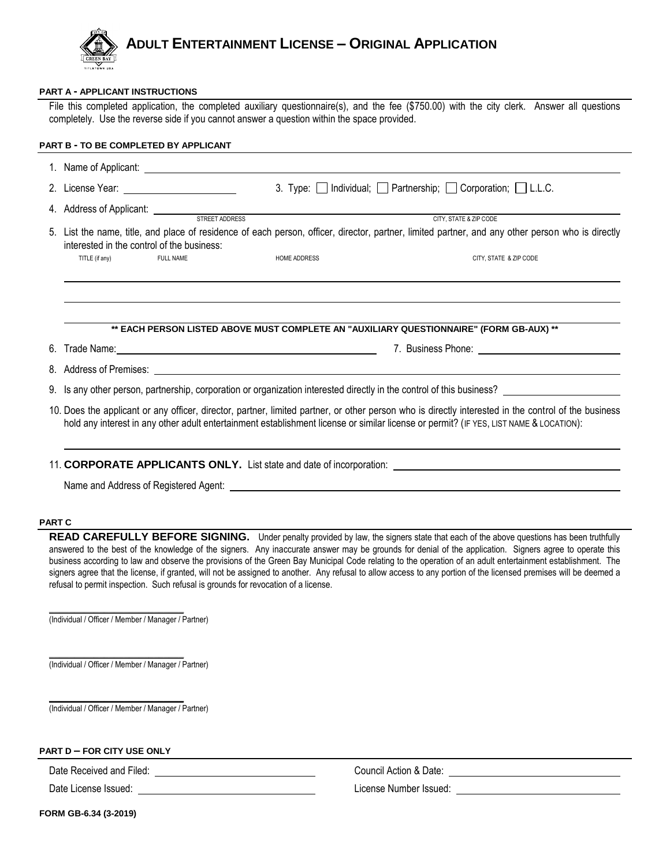

## **PART A - APPLICANT INSTRUCTIONS**

File this completed application, the completed auxiliary questionnaire(s), and the fee (\$750.00) with the city clerk. Answer all questions completely. Use the reverse side if you cannot answer a question within the space provided.

|    |                                                                                                                                                                                                 |                  |                                                                                                                                                                                                                                | 3. Type: Individual; Partnership; Corporation; L.L.C.                                                                                                                                                                                |
|----|-------------------------------------------------------------------------------------------------------------------------------------------------------------------------------------------------|------------------|--------------------------------------------------------------------------------------------------------------------------------------------------------------------------------------------------------------------------------|--------------------------------------------------------------------------------------------------------------------------------------------------------------------------------------------------------------------------------------|
|    |                                                                                                                                                                                                 |                  | 4. Address of Applicant: <u>STREET ADDRESS</u> STREET AND RESERVING TO THE STREET AND STREET ADDRESS                                                                                                                           |                                                                                                                                                                                                                                      |
|    | 5. List the name, title, and place of residence of each person, officer, director, partner, limited partner, and any other person who is directly<br>interested in the control of the business: |                  |                                                                                                                                                                                                                                |                                                                                                                                                                                                                                      |
|    | TITLE (if any)                                                                                                                                                                                  | <b>FULL NAME</b> | <b>HOME ADDRESS</b>                                                                                                                                                                                                            | CITY, STATE & ZIP CODE                                                                                                                                                                                                               |
|    |                                                                                                                                                                                                 |                  |                                                                                                                                                                                                                                | ** EACH PERSON LISTED ABOVE MUST COMPLETE AN "AUXILIARY QUESTIONNAIRE" (FORM GB-AUX) **                                                                                                                                              |
| 6. |                                                                                                                                                                                                 |                  | Trade Name: Name: Name and Second Contract of the Second Contract of the Second Contract of the Second Contract of the Second Contract of the Second Contract of the Second Contract of the Second Contract of the Second Cont |                                                                                                                                                                                                                                      |
|    |                                                                                                                                                                                                 |                  |                                                                                                                                                                                                                                | 8. Address of Premises: <u>example and a series of the series of the series of the series of the series of the series of the series of the series of the series of the series of the series of the series of the series of the s</u> |
|    |                                                                                                                                                                                                 |                  |                                                                                                                                                                                                                                | 9. Is any other person, partnership, corporation or organization interested directly in the control of this business?                                                                                                                |

Name and Address of Registered Agent:

#### **PART C**

**READ CAREFULLY BEFORE SIGNING.** Under penalty provided by law, the signers state that each of the above questions has been truthfully answered to the best of the knowledge of the signers. Any inaccurate answer may be grounds for denial of the application. Signers agree to operate this business according to law and observe the provisions of the Green Bay Municipal Code relating to the operation of an adult entertainment establishment. The signers agree that the license, if granted, will not be assigned to another. Any refusal to allow access to any portion of the licensed premises will be deemed a refusal to permit inspection. Such refusal is grounds for revocation of a license.

\_\_\_\_\_\_\_\_\_\_\_\_\_\_\_\_\_\_\_\_\_\_\_\_\_\_\_ (Individual / Officer / Member / Manager / Partner)

\_\_\_\_\_\_\_\_\_\_\_\_\_\_\_\_\_\_\_\_\_\_\_\_\_\_\_ (Individual / Officer / Member / Manager / Partner)

\_\_\_\_\_\_\_\_\_\_\_\_\_\_\_\_\_\_\_\_\_\_\_\_\_\_\_ (Individual / Officer / Member / Manager / Partner)

# **PART D – FOR CITY USE ONLY**

**FORM GB-6.34 (3-2019)**

Date Received and Filed: The Council Action & Date: Council Action & Date: Council Action & Date:

Date License Issued: License Number Issued: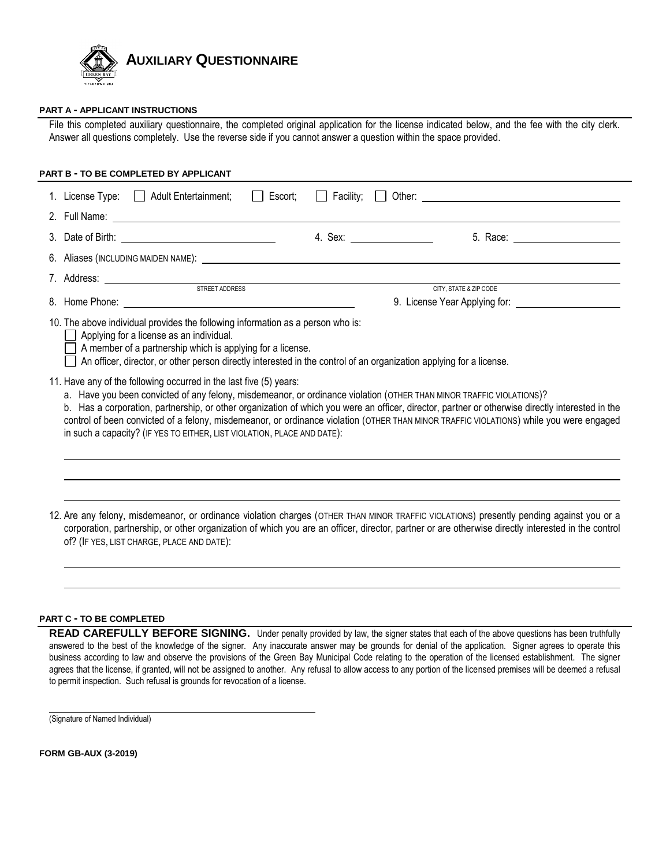

#### **PART A - APPLICANT INSTRUCTIONS**

File this completed auxiliary questionnaire, the completed original application for the license indicated below, and the fee with the city clerk. Answer all questions completely. Use the reverse side if you cannot answer a question within the space provided.

**PART B - TO BE COMPLETED BY APPLICANT** 1. License Type:  $\Box$  Adult Entertainment;  $\Box$  Escort;  $\Box$  Facility;  $\Box$  Other:  $\Box$  enterminenty on the state of the state of the state of the state of the state of the state of the state of the state of the state of t 2. Full Name: 3. Date of Birth: Same School and School and A. Sex: 5. Race: 5. Race: 5. Race: 5. Race: 5. Race: 5. Race: 5. Race: 5. Race: 5. Race: 5. Race: 5. Race: 5. Race: 5. Race: 5. Race: 5. Race: 5. Race: 5. Race: 5. Race: 5. Race 6. Aliases (INCLUDING MAIDEN NAME): 7. Address: STREET ADDRESS CITY, STATE & ZIP CODE 8. Home Phone: etc. All a strategies are seen to the set of the set of the set of the set of the set of the set of the set of the set of the set of the set of the set of the set of the set of the set of the set of the set 10. The above individual provides the following information as a person who is: **Solutify** Applying for a license as an individual.  $\Box$  A member of a partnership which is applying for a license. An officer, director, or other person directly interested in the control of an organization applying for a license. 11. Have any of the following occurred in the last five (5) years: a. Have you been convicted of any felony, misdemeanor, or ordinance violation (OTHER THAN MINOR TRAFFIC VIOLATIONS)? b. Has a corporation, partnership, or other organization of which you were an officer, director, partner or otherwise directly interested in the control of been convicted of a felony, misdemeanor, or ordinance violation (OTHER THAN MINOR TRAFFIC VIOLATIONS) while you were engaged in such a capacity? (IF YES TO EITHER, LIST VIOLATION, PLACE AND DATE): l, 12. Are any felony, misdemeanor, or ordinance violation charges (OTHER THAN MINOR TRAFFIC VIOLATIONS) presently pending against you or a corporation, partnership, or other organization of which you are an officer, director, partner or are otherwise directly interested in the control

#### **PART C - TO BE COMPLETED**

of? (IF YES, LIST CHARGE, PLACE AND DATE):

**READ CAREFULLY BEFORE SIGNING.** Under penalty provided by law, the signer states that each of the above questions has been truthfully answered to the best of the knowledge of the signer. Any inaccurate answer may be grounds for denial of the application. Signer agrees to operate this business according to law and observe the provisions of the Green Bay Municipal Code relating to the operation of the licensed establishment. The signer agrees that the license, if granted, will not be assigned to another. Any refusal to allow access to any portion of the licensed premises will be deemed a refusal to permit inspection. Such refusal is grounds for revocation of a license.

(Signature of Named Individual)

**FORM GB-AUX (3-2019)**